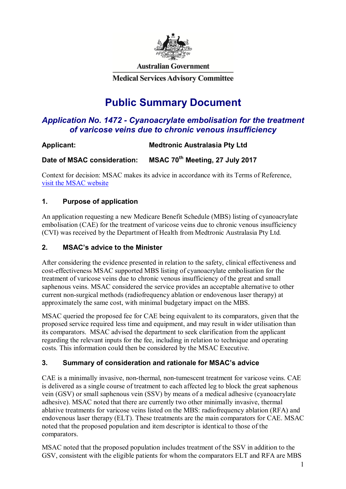

**Australian Government** 

**Medical Services Advisory Committee** 

# **Public Summary Document**

# *Application No. 1472 - Cyanoacrylate embolisation for the treatment of varicose veins due to chronic venous insufficiency*

# **Applicant: Medtronic Australasia Pty Ltd**

**Date of MSAC consideration: MSAC 70th Meeting, 27 July 2017** 

Context for decision: MSAC makes its advice in accordance with its Terms of Reference, visit the MSAC website

# **1. Purpose of application**

An application requesting a new Medicare Benefit Schedule (MBS) listing of cyanoacrylate embolisation (CAE) for the treatment of varicose veins due to chronic venous insufficiency (CVI) was received by the Department of Health from Medtronic Australasia Pty Ltd*.* 

## **2. MSAC's advice to the Minister**

After considering the evidence presented in relation to the safety, clinical effectiveness and cost-effectiveness MSAC supported MBS listing of cyanoacrylate embolisation for the treatment of varicose veins due to chronic venous insufficiency of the great and small saphenous veins. MSAC considered the service provides an acceptable alternative to other current non-surgical methods (radiofrequency ablation or endovenous laser therapy) at approximately the same cost, with minimal budgetary impact on the MBS.

MSAC queried the proposed fee for CAE being equivalent to its comparators, given that the proposed service required less time and equipment, and may result in wider utilisation than its comparators. MSAC advised the department to seek clarification from the applicant regarding the relevant inputs for the fee, including in relation to technique and operating costs. This information could then be considered by the MSAC Executive.

# **3. Summary of consideration and rationale for MSAC's advice**

CAE is a minimally invasive, non-thermal, non-tumescent treatment for varicose veins. CAE is delivered as a single course of treatment to each affected leg to block the great saphenous vein (GSV) or small saphenous vein (SSV) by means of a medical adhesive (cyanoacrylate adhesive). MSAC noted that there are currently two other minimally invasive, thermal ablative treatments for varicose veins listed on the MBS: radiofrequency ablation (RFA) and endovenous laser therapy (ELT). These treatments are the main comparators for CAE. MSAC noted that the proposed population and item descriptor is identical to those of the comparators.

MSAC noted that the proposed population includes treatment of the SSV in addition to the GSV, consistent with the eligible patients for whom the comparators ELT and RFA are MBS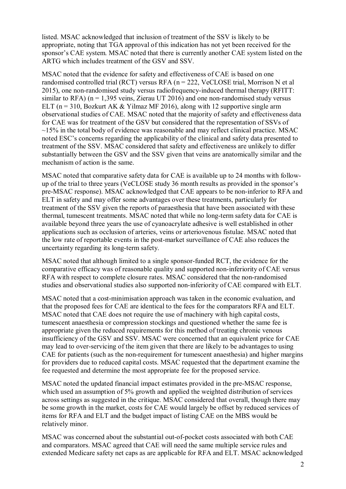listed. MSAC acknowledged that inclusion of treatment of the SSV is likely to be appropriate, noting that TGA approval of this indication has not yet been received for the sponsor's CAE system. MSAC noted that there is currently another CAE system listed on the ARTG which includes treatment of the GSV and SSV.

MSAC noted that the evidence for safety and effectiveness of CAE is based on one randomised controlled trial (RCT) versus RFA ( $n = 222$ , VeCLOSE trial, Morrison N et al 2015), one non-randomised study versus radiofrequency-induced thermal therapy (RFITT: similar to RFA) ( $n = 1,395$  veins, Zierau UT 2016) and one non-randomised study versus ELT ( $n = 310$ , Bozkurt AK & Yilmaz MF 2016), along with 12 supportive single arm observational studies of CAE. MSAC noted that the majority of safety and effectiveness data for CAE was for treatment of the GSV but considered that the representation of SSVs of  $\sim$ 15% in the total body of evidence was reasonable and may reflect clinical practice. MSAC noted ESC's concerns regarding the applicability of the clinical and safety data presented to treatment of the SSV. MSAC considered that safety and effectiveness are unlikely to differ substantially between the GSV and the SSV given that veins are anatomically similar and the mechanism of action is the same.

MSAC noted that comparative safety data for CAE is available up to 24 months with followup of the trial to three years (VeCLOSE study 36 month results as provided in the sponsor's pre-MSAC response). MSAC acknowledged that CAE appears to be non-inferior to RFA and ELT in safety and may offer some advantages over these treatments, particularly for treatment of the SSV given the reports of paraesthesia that have been associated with these thermal, tumescent treatments. MSAC noted that while no long-term safety data for CAE is available beyond three years the use of cyanoacrylate adhesive is well established in other applications such as occlusion of arteries, veins or arteriovenous fistulae. MSAC noted that the low rate of reportable events in the post-market surveillance of CAE also reduces the uncertainty regarding its long-term safety.

MSAC noted that although limited to a single sponsor-funded RCT, the evidence for the comparative efficacy was of reasonable quality and supported non-inferiority of CAE versus RFA with respect to complete closure rates. MSAC considered that the non-randomised studies and observational studies also supported non-inferiority of CAE compared with ELT.

MSAC noted that a cost-minimisation approach was taken in the economic evaluation, and that the proposed fees for CAE are identical to the fees for the comparators RFA and ELT. MSAC noted that CAE does not require the use of machinery with high capital costs, tumescent anaesthesia or compression stockings and questioned whether the same fee is appropriate given the reduced requirements for this method of treating chronic venous insufficiency of the GSV and SSV. MSAC were concerned that an equivalent price for CAE may lead to over-servicing of the item given that there are likely to be advantages to using CAE for patients (such as the non-requirement for tumescent anaesthesia) and higher margins for providers due to reduced capital costs. MSAC requested that the department examine the fee requested and determine the most appropriate fee for the proposed service.

MSAC noted the updated financial impact estimates provided in the pre-MSAC response, which used an assumption of 5% growth and applied the weighted distribution of services across settings as suggested in the critique. MSAC considered that overall, though there may be some growth in the market, costs for CAE would largely be offset by reduced services of items for RFA and ELT and the budget impact of listing CAE on the MBS would be relatively minor.

MSAC was concerned about the substantial out-of-pocket costs associated with both CAE and comparators. MSAC agreed that CAE will need the same multiple service rules and extended Medicare safety net caps as are applicable for RFA and ELT. MSAC acknowledged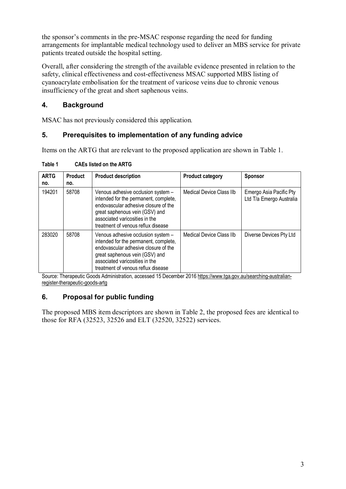the sponsor's comments in the pre-MSAC response regarding the need for funding arrangements for implantable medical technology used to deliver an MBS service for private patients treated outside the hospital setting.

Overall, after considering the strength of the available evidence presented in relation to the safety, clinical effectiveness and cost-effectiveness MSAC supported MBS listing of cyanoacrylate embolisation for the treatment of varicose veins due to chronic venous insufficiency of the great and short saphenous veins.

# **4. Background**

MSAC has not previously considered this application*.* 

# **5. Prerequisites to implementation of any funding advice**

Items on the ARTG that are relevant to the proposed application are shown in Table 1.

| <b>ARTG</b><br>no. | <b>Product</b><br>no. | <b>Product description</b>                                                                                                                                                                                                    | <b>Product category</b>  | <b>Sponsor</b>                                      |
|--------------------|-----------------------|-------------------------------------------------------------------------------------------------------------------------------------------------------------------------------------------------------------------------------|--------------------------|-----------------------------------------------------|
| 194201             | 58708                 | Venous adhesive occlusion system -<br>intended for the permanent, complete,<br>endovascular adhesive closure of the<br>great saphenous vein (GSV) and<br>associated varicosities in the<br>treatment of venous reflux disease | Medical Device Class IIb | Emergo Asia Pacific Pty<br>Ltd T/a Emergo Australia |
| 283020             | 58708                 | Venous adhesive occlusion system -<br>intended for the permanent, complete,<br>endovascular adhesive closure of the<br>great saphenous vein (GSV) and<br>associated varicosities in the<br>treatment of venous reflux disease | Medical Device Class IIb | Diverse Devices Pty Ltd                             |

**Table 1 CAEs listed on the ARTG** 

Source: Therapeutic Goods Administration, accessed 15 December 2016 https://www.tga.gov.au/searching-australianregister-therapeutic-goods-artg

# **6. Proposal for public funding**

The proposed MBS item descriptors are shown in Table 2, the proposed fees are identical to those for RFA (32523, 32526 and ELT (32520, 32522) services.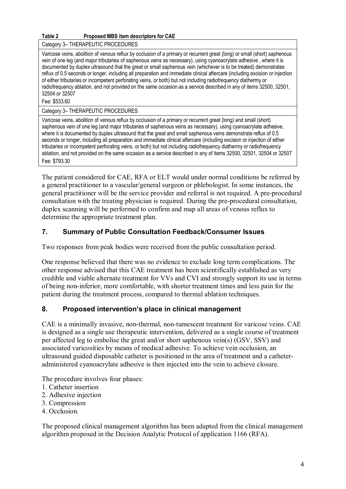#### **Table 2 Proposed MBS item descriptors for CAE**

Category 3– THERAPEUTIC PROCEDURES

Varicose veins, abolition of venous reflux by occlusion of a primary or recurrent great (long) or small (short) saphenous vein of one leg (and major tributaries of saphenous veins as necessary), using cyanoacrylate adhesive , where it is documented by duplex ultrasound that the great or small saphenous vein (whichever is to be treated) demonstrates reflux of 0.5 seconds or longer, including all preparation and immediate clinical aftercare (including excision or injection of either tributaries or incompetent perforating veins, or both) but not including radiofrequency diathermy or radiofrequency ablation, and not provided on the same occasion as a service described in any of items 32500, 32501, 32504 or 32507

Fee: \$533.60

Category 3– THERAPEUTIC PROCEDURES

Varicose veins, abolition of venous reflux by occlusion of a primary or recurrent great (long) and small (short) saphenous vein of one leg (and major tributaries of saphenous veins as necessary), using cyanoacrylate adhesive, where it is documented by duplex ultrasound that the great and small saphenous veins demonstrate reflux of 0.5 seconds or longer, including all preparation and immediate clinical aftercare (including excision or injection of either tributaries or incompetent perforating veins, or both) but not including radiofrequency diathermy or radiofrequency ablation, and not provided on the same occasion as a service described in any of items 32500, 32501, 32504 or 32507 Fee: \$793.30

The patient considered for CAE, RFA or ELT would under normal conditions be referred by a general practitioner to a vascular/general surgeon or phlebologist. In some instances, the general practitioner will be the service provider and referral is not required. A pre-procedural consultation with the treating physician is required. During the pre-procedural consultation, duplex scanning will be performed to confirm and map all areas of venous reflux to determine the appropriate treatment plan.

## **7. Summary of Public Consultation Feedback/Consumer Issues**

Two responses from peak bodies were received from the public consultation period.

One response believed that there was no evidence to exclude long term complications. The other response advised that this CAE treatment has been scientifically established as very credible and viable alternate treatment for VVs and CVI and strongly support its use in terms of being non-inferior, more comfortable, with shorter treatment times and less pain for the patient during the treatment process, compared to thermal ablation techniques*.* 

#### **8. Proposed intervention's place in clinical management**

CAE is a minimally invasive, non-thermal, non-tumescent treatment for varicose veins. CAE is designed as a single use therapeutic intervention, delivered as a single course of treatment per affected leg to embolise the great and/or short saphenous vein(s) (GSV, SSV) and associated varicosities by means of medical adhesive. To achieve vein occlusion, an ultrasound guided disposable catheter is positioned in the area of treatment and a catheteradministered cyanoacrylate adhesive is then injected into the vein to achieve closure.

The procedure involves four phases:

- 1. Catheter insertion
- 2. Adhesive injection
- 3. Compression
- 4. Occlusion*.*

The proposed clinical management algorithm has been adapted from the clinical management algorithm proposed in the Decision Analytic Protocol of application 1166 (RFA).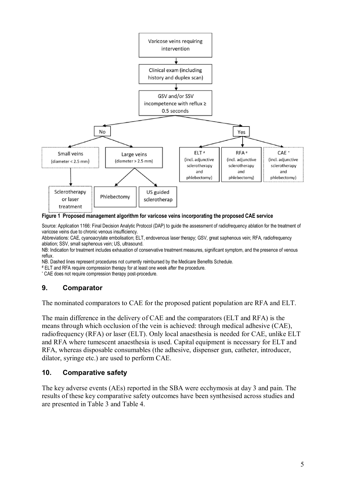

#### **Figure 1 Proposed management algorithm for varicose veins incorporating the proposed CAE service**

Source: Application 1166: Final Decision Analytic Protocol (DAP) to guide the assessment of radiofrequency ablation for the treatment of varicose veins due to chronic venous insufficiency.

Abbreviations: CAE, cyanoacrylate embolisation; ELT, endovenous laser therapy; GSV, great saphenous vein; RFA, radiofrequency ablation; SSV, small saphenous vein; US, ultrasound.

NB: Indication for treatment includes exhaustion of conservative treatment measures, significant symptom, and the presence of venous reflux.

NB. Dashed lines represent procedures not currently reimbursed by the Medicare Benefits Schedule.

# ELT and RFA require compression therapy for at least one week after the procedure.

\* CAE does not require compression therapy post-procedure.

#### **9. Comparator**

The nominated comparators to CAE for the proposed patient population are RFA and ELT.

The main difference in the delivery of CAE and the comparators (ELT and RFA) is the means through which occlusion of the vein is achieved: through medical adhesive (CAE), radiofrequency (RFA) or laser (ELT). Only local anaesthesia is needed for CAE, unlike ELT and RFA where tumescent anaesthesia is used. Capital equipment is necessary for ELT and RFA, whereas disposable consumables (the adhesive, dispenser gun, catheter, introducer, dilator, syringe etc.) are used to perform CAE.

#### **10. Comparative safety**

The key adverse events (AEs) reported in the SBA were ecchymosis at day 3 and pain. The results of these key comparative safety outcomes have been synthesised across studies and are presented in Table 3 and Table 4.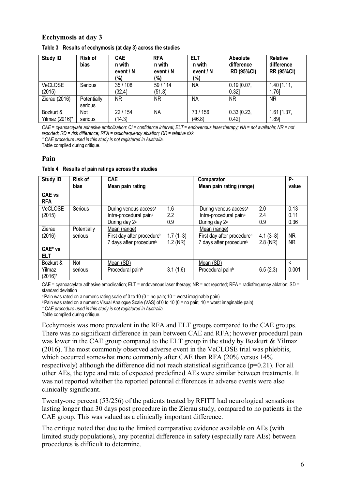#### **Ecchymosis at day 3**

| <b>Study ID</b>             | <b>Risk of</b><br>bias | <b>CAE</b><br>n with<br>event / N<br>(%) | <b>RFA</b><br>n with<br>event / N<br>(%) | <b>ELT</b><br>n with<br>event / N<br>(%) | Absolute<br>difference<br><b>RD (95%CI)</b> | <b>Relative</b><br>difference<br><b>RR (95%CI)</b> |
|-----------------------------|------------------------|------------------------------------------|------------------------------------------|------------------------------------------|---------------------------------------------|----------------------------------------------------|
| <b>VeCLOSE</b><br>(2015)    | Serious                | 35/108<br>(32.4)                         | 59/114<br>(51.8)                         | NA                                       | $0.19$ [0.07,<br>0.321                      | $1.40$ [1.11,<br>1.761                             |
| Zierau (2016)               | Potentially<br>serious | ΝR                                       | ΝR                                       | ΝA                                       | ΝR                                          | <b>NR</b>                                          |
| Bozkurt &<br>Yilmaz (2016)* | Not<br>serious         | 22 / 154<br>(14.3)                       | NΑ                                       | 73/156<br>(46.8)                         | $0.33$ [0.23,<br>0.421                      | $1.61$ [1.37,<br>1.891                             |

|  | Table 3 Results of ecchymosis (at day 3) across the studies |  |  |  |
|--|-------------------------------------------------------------|--|--|--|
|--|-------------------------------------------------------------|--|--|--|

*CAE = cyanoacrylate adhesive embolisation; CI = confidence interval; ELT = endovenous laser therapy; NA = not available; NR = not reported; RD = risk difference; RFA = radiofrequency ablation; RR = relative risk \* CAE procedure used in this study is not registered in Australia.* 

Table compiled during critique.

#### **Pain**

|  | Table 4 Results of pain ratings across the studies |
|--|----------------------------------------------------|
|--|----------------------------------------------------|

| <b>Study ID</b>             | <b>Risk of</b><br>bias | <b>CAE</b>                             |            | Comparator                             |            | Р.           |
|-----------------------------|------------------------|----------------------------------------|------------|----------------------------------------|------------|--------------|
|                             |                        | Mean pain rating                       |            | Mean pain rating (range)               |            | value        |
| <b>CAE vs</b><br><b>RFA</b> |                        |                                        |            |                                        |            |              |
| VeCLOSE                     | Serious                | During venous access <sup>a</sup>      | 1.6        | During venous access <sup>a</sup>      | 2.0        | 0.13         |
| (2015)                      |                        | Intra-procedural pain <sup>a</sup>     | 2.2        | Intra-procedural pain <sup>a</sup>     | 2.4        | 0.11         |
|                             |                        | During day 2 <sup>a</sup>              | 0.9        | During day 2 <sup>a</sup>              | 0.9        | 0.36         |
| Zierau                      | Potentially            | Mean (range)                           |            | Mean (range)                           |            |              |
| (2016)                      | serious                | First day after procedure <sup>b</sup> | $1.7(1-3)$ | First day after procedure <sup>b</sup> | $4.1(3-8)$ | <b>NR</b>    |
|                             |                        | 7 days after procedure <sup>b</sup>    | $1.2$ (NR) | 7 days after procedure <sup>b</sup>    | $2.8$ (NR) | NR           |
| CAE* vs                     |                        |                                        |            |                                        |            |              |
| <b>ELT</b>                  |                        |                                        |            |                                        |            |              |
| Bozkurt &                   | Not                    | Mean (SD)                              |            | Mean (SD)                              |            | $\checkmark$ |
| Yilmaz<br>$(2016)^*$        | serious                | Procedural pain <sup>b</sup>           | 3.1(1.6)   | Procedural pain <sup>b</sup>           | 6.5(2.3)   | 0.001        |

CAE = cyanoacrylate adhesive embolisation; ELT = endovenous laser therapy; NR = not reported; RFA = radiofrequency ablation; SD = standard deviation

a Pain was rated on a numeric rating scale of 0 to 10 (0 = no pain; 10 = worst imaginable pain)

b Pain was rated on a numeric Visual Analogue Scale (VAS) of 0 to 10 (0 = no pain; 10 = worst imaginable pain)

*\* CAE procedure used in this study is not registered in Australia*.

Table compiled during critique.

Ecchymosis was more prevalent in the RFA and ELT groups compared to the CAE groups. There was no significant difference in pain between CAE and RFA; however procedural pain was lower in the CAE group compared to the ELT group in the study by Bozkurt & Yilmaz (2016). The most commonly observed adverse event in the VeCLOSE trial was phlebitis, which occurred somewhat more commonly after CAE than RFA (20% versus 14% respectively) although the difference did not reach statistical significance (p=0.21). For all other AEs, the type and rate of expected predefined AEs were similar between treatments. It was not reported whether the reported potential differences in adverse events were also clinically significant.

Twenty-one percent (53/256) of the patients treated by RFITT had neurological sensations lasting longer than 30 days post procedure in the Zierau study, compared to no patients in the CAE group. This was valued as a clinically important difference.

The critique noted that due to the limited comparative evidence available on AEs (with limited study populations), any potential difference in safety (especially rare AEs) between procedures is difficult to determine.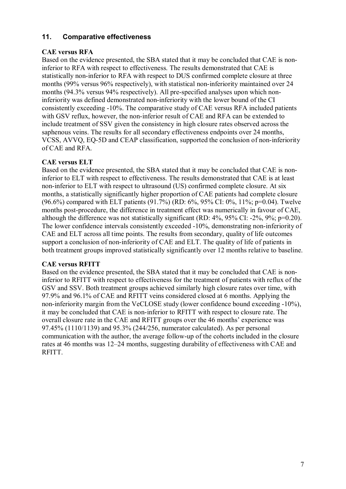## **11. Comparative effectiveness**

### **CAE versus RFA**

Based on the evidence presented, the SBA stated that it may be concluded that CAE is noninferior to RFA with respect to effectiveness. The results demonstrated that CAE is statistically non-inferior to RFA with respect to DUS confirmed complete closure at three months (99% versus 96% respectively), with statistical non-inferiority maintained over 24 months (94.3% versus 94% respectively). All pre-specified analyses upon which noninferiority was defined demonstrated non-inferiority with the lower bound of the CI consistently exceeding -10%. The comparative study of CAE versus RFA included patients with GSV reflux, however, the non-inferior result of CAE and RFA can be extended to include treatment of SSV given the consistency in high closure rates observed across the saphenous veins. The results for all secondary effectiveness endpoints over 24 months, VCSS, AVVQ, EQ-5D and CEAP classification, supported the conclusion of non-inferiority of CAE and RFA.

## **CAE versus ELT**

Based on the evidence presented, the SBA stated that it may be concluded that CAE is noninferior to ELT with respect to effectiveness. The results demonstrated that CAE is at least non-inferior to ELT with respect to ultrasound (US) confirmed complete closure. At six months, a statistically significantly higher proportion of CAE patients had complete closure (96.6%) compared with ELT patients (91.7%) (RD: 6%, 95% CI: 0%, 11%; p=0.04). Twelve months post-procedure, the difference in treatment effect was numerically in favour of CAE, although the difference was not statistically significant (RD: 4%, 95% CI: -2%, 9%; p=0.20). The lower confidence intervals consistently exceeded -10%, demonstrating non-inferiority of CAE and ELT across all time points. The results from secondary, quality of life outcomes support a conclusion of non-inferiority of CAE and ELT. The quality of life of patients in both treatment groups improved statistically significantly over 12 months relative to baseline.

#### **CAE versus RFITT**

Based on the evidence presented, the SBA stated that it may be concluded that CAE is noninferior to RFITT with respect to effectiveness for the treatment of patients with reflux of the GSV and SSV. Both treatment groups achieved similarly high closure rates over time, with 97.9% and 96.1% of CAE and RFITT veins considered closed at 6 months. Applying the non-inferiority margin from the VeCLOSE study (lower confidence bound exceeding -10%), it may be concluded that CAE is non-inferior to RFITT with respect to closure rate. The overall closure rate in the CAE and RFITT groups over the 46 months' experience was 97.45% (1110/1139) and 95.3% (244/256, numerator calculated). As per personal communication with the author, the average follow-up of the cohorts included in the closure rates at 46 months was 12–24 months, suggesting durability of effectiveness with CAE and RFITT.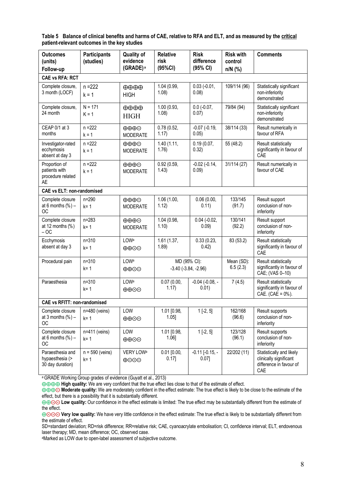**Table 5 Balance of clinical benefits and harms of CAE, relative to RFA and ELT, and as measured by the critical patient-relevant outcomes in the key studies** 

| <b>Outcomes</b><br>(units)<br>Follow-up                   | <b>Participants</b><br>(studies) | <b>Quality of</b><br>evidence<br>(GRADE) <sup>a</sup> | <b>Relative</b><br>risk<br>(95%CI)       | <b>Risk</b><br>difference<br>(95% CI) | <b>Risk with</b><br>control<br>$n/N$ (%) | <b>Comments</b>                                                                      |
|-----------------------------------------------------------|----------------------------------|-------------------------------------------------------|------------------------------------------|---------------------------------------|------------------------------------------|--------------------------------------------------------------------------------------|
| <b>CAE vs RFA: RCT</b>                                    |                                  |                                                       |                                          |                                       |                                          |                                                                                      |
| Complete closure,<br>3 month (LOCF)                       | $n = 222$<br>$k = 1$             | $\oplus \oplus \oplus$<br><b>HIGH</b>                 | 1.04 (0.99,<br>1.08                      | $0.03$ (-0.01,<br>0.08)               | 109/114 (96)                             | Statistically significant<br>non-inferiority<br>demonstrated                         |
| Complete closure,<br>24 month                             | $N = 171$<br>$K = 1$             | $\oplus \oplus \oplus$<br><b>HIGH</b>                 | 1.00 (0.93,<br>1.08                      | $0.0 (-0.07,$<br>0.07)                | 79/84 (94)                               | Statistically significant<br>non-inferiority<br>demonstrated                         |
| CEAP 0/1 at 3<br>months                                   | $n = 222$<br>$k = 1$             | $\oplus \oplus \oplus \odot$<br><b>MODERATE</b>       | 0.78(0.52,<br>1.17)                      | $-0.07$ $(-0.19,$<br>0.05)            | 38/114 (33)                              | Result numerically in<br>favour of RFA                                               |
| Investigator-rated<br>ecchymosis<br>absent at day 3       | $n = 222$<br>$k = 1$             | $\oplus \oplus \oplus \odot$<br><b>MODERATE</b>       | 1.40 (1.11,<br>1.76)                     | 0.19(0.07,<br>0.32)                   | 55 (48.2)                                | Result statistically<br>significantly in favour of<br>CAE                            |
| Proportion of<br>patients with<br>procedure related<br>AE | $n = 222$<br>$k = 1$             | $\oplus \oplus \oplus \odot$<br><b>MODERATE</b>       | 0.92(0.59,<br>1.43)                      | $-0.02$ $(-0.14,$<br>0.09)            | 31/114 (27)                              | Result numerically in<br>favour of CAE                                               |
| <b>CAE vs ELT: non-randomised</b>                         |                                  |                                                       |                                          |                                       |                                          |                                                                                      |
| Complete closure<br>at 6 months $(\%)$ -<br><b>OC</b>     | $n = 290$<br>$k = 1$             | $\oplus \oplus \oplus \odot$<br><b>MODERATE</b>       | 1.06 (1.00,<br>1.12)                     | 0.06(0.00,<br>0.11)                   | 133/145<br>(91.7)                        | Result support<br>conclusion of non-<br>inferiority                                  |
| Complete closure<br>at 12 months $(\%)$<br>$-OC$          | $n = 283$<br>$k = 1$             | $\oplus \oplus \oplus \odot$<br><b>MODERATE</b>       | 1.04 (0.98,<br>1.10                      | $0.04 (-0.02,$<br>0.09)               | 130/141<br>(92.2)                        | Result support<br>conclusion of non-<br>inferiority                                  |
| Ecchymosis<br>absent at day 3                             | $n = 310$<br>$k = 1$             | LOWa<br>$\oplus$ $\oplus$ $\odot$                     | 1.61 (1.37,<br>1.89)                     | 0.33(0.23,<br>0.42)                   | 83 (53.2)                                | Result statistically<br>significantly in favour of<br>CAE                            |
| Procedural pain                                           | $n = 310$<br>$k = 1$             | LOWa<br>$\oplus$ $\oplus$ $\odot$                     | MD (95% CI):<br>$-3.40$ $(-3.84, -2.96)$ |                                       | Mean (SD):<br>6.5(2.3)                   | Result statistically<br>significantly in favour of<br>CAE; (VAS 0-10)                |
| Paraesthesia                                              | $n = 310$<br>$k = 1$             | LOWa<br>$\oplus$ $\oplus$ $\odot$                     | 0.07(0.00,<br>1.17)                      | $-0.04$ $(-0.08, -$<br>0.01)          | 7(4.5)                                   | Result statistically<br>significantly in favour of<br>$CAE. (CAE = 0\%)$ .           |
| <b>CAE vs RFITT: non-randomised</b>                       |                                  |                                                       |                                          |                                       |                                          |                                                                                      |
| Complete closure<br>at 3 months $(\%)$ –<br><b>OC</b>     | $n=480$ (veins)<br>$k = 1$       | LOW<br>$\oplus$ $\oplus$                              | 1.01 [0.98,<br>1.05                      | $1$ [-2, 5]                           | 162/168<br>(96.6)                        | Result supports<br>conclusion of non-<br>inferiority                                 |
| Complete closure<br>at 6 months $(\%)$ –<br>OC            | n=411 (veins)<br>$k = 1$         | LOW<br>$\oplus$ $\oplus$                              | 1.01 [0.98,<br>$1.06$ ]                  | $1[-2, 5]$                            | 123/128<br>(96.1)                        | Result supports<br>conclusion of non-<br>inferiority                                 |
| Paraesthesia and<br>hypaesthesia (><br>30 day duration)   | $n = 590$ (veins)<br>$k = 1$     | VERY LOW <sup>a</sup><br>$\oplus$ OO                  | 0.01 [0.00,<br>$0.17$ ]                  | $-0.11$ $[-0.15, -]$<br>0.07          | 22/202 (11)                              | Statistically and likely<br>clinically significant<br>difference in favour of<br>CAE |

a GRADE Working Group grades of evidence (Guyatt et al., 2013)

⊕⊕⊕⊕ High quality: We are very confident that the true effect lies close to that of the estimate of effect.

aMarked as LOW due to open-label assessment of subjective outcome.

<sup>⊕⊕⊕⊙</sup> Moderate quality: We are moderately confident in the effect estimate: The true effect is likely to be close to the estimate of the effect, but there is a possibility that it is substantially different.

<sup>⊕⊕⊙⊙</sup> Low quality: Our confidence in the effect estimate is limited: The true effect may be substantially different from the estimate of the effect.

<sup>⊕⊙⊙⊙</sup> Very low quality: We have very little confidence in the effect estimate: The true effect is likely to be substantially different from the estimate of effect.

SD=standard deviation; RD=risk difference; RR=relative risk; CAE, cyanoacrylate embolisation; CI, confidence interval; ELT, endovenous laser therapy; MD, mean difference; OC, observed case.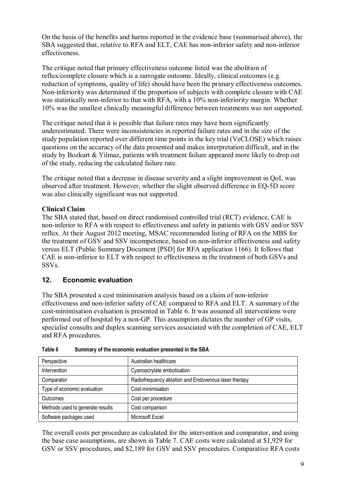On the basis of the benefits and harms reported in the evidence base (summarised above), the SBA suggested that, relative to RFA and ELT, CAE has non-inferior safety and non-inferior effectiveness.

The critique noted that primary effectiveness outcome listed was the abolition of reflux/complete closure which is a surrogate outcome. Ideally, clinical outcomes (e.g. reduction of symptoms, quality of life) should have been the primary effectiveness outcomes. Non-inferiority was determined if the proportion of subjects with complete closure with CAE was statistically non-inferior to that with RFA, with a 10% non-inferiority margin. Whether 10% was the smallest clinically meaningful difference between treatments was not supported.

The critique noted that it is possible that failure rates may have been significantly underestimated. There were inconsistencies in reported failure rates and in the size of the study population reported over different time points in the key trial (VeCLOSE) which raises questions on the accuracy of the data presented and makes interpretation difficult, and in the study by Bozkurt & Yilmaz, patients with treatment failure appeared more likely to drop out of the study, reducing the calculated failure rate.

The critique noted that a decrease in disease severity and a slight improvement in QoL was observed after treatment. However, whether the slight observed difference in EQ-5D score was also clinically significant was not supported.

## **Clinical Claim**

The SBA stated that, based on direct randomised controlled trial (RCT) evidence, CAE is non-inferior to RFA with respect to effectiveness and safety in patients with GSV and/or SSV reflux. At their August 2012 meeting, MSAC recommended listing of RFA on the MBS for the treatment of GSV and SSV incompetence, based on non-inferior effectiveness and safety versus ELT (Public Summary Document [PSD] for RFA application 1166). It follows that CAE is non-inferior to ELT with respect to effectiveness in the treatment of both GSVs and SSVs.

## **12. Economic evaluation**

The SBA presented a cost minimisation analysis based on a claim of non-inferior effectiveness and non-inferior safety of CAE compared to RFA and ELT. A summary of the cost-minimisation evaluation is presented in Table 6. It was assumed all interventions were performed out of hospital by a non-GP. This assumption dictates the number of GP visits, specialist consults and duplex scanning services associated with the completion of CAE, ELT and RFA procedures.

| Perspective                      | Australian healthcare                                |
|----------------------------------|------------------------------------------------------|
| Intervention                     | Cyanoacrylate embolisation                           |
| Comparator                       | Radiofrequency ablation and Endovenous laser therapy |
| Type of economic evaluation      | Cost-minimisation                                    |
| Outcomes                         | Cost per procedure                                   |
| Methods used to generate results | Cost comparison                                      |
| Software packages used           | Microsoft Excel                                      |

**Table 6 Summary of the economic evaluation presented in the SBA** 

The overall costs per procedure as calculated for the intervention and comparator, and using the base case assumptions, are shown in Table 7. CAE costs were calculated at \$1,929 for GSV or SSV procedures, and \$2,189 for GSV and SSV procedures. Comparative RFA costs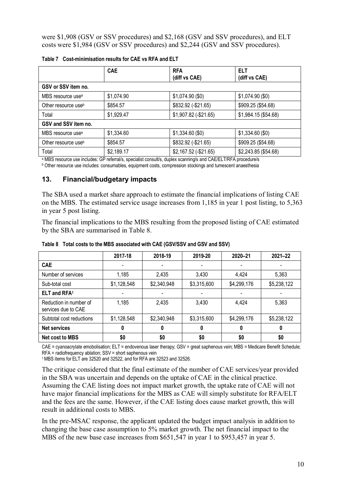were \$1,908 (GSV or SSV procedures) and \$2,168 (GSV and SSV procedures), and ELT costs were \$1,984 (GSV or SSV procedures) and \$2,244 (GSV and SSV procedures).

|                                 | <b>CAE</b> | <b>RFA</b><br>(diff vs CAE) | <b>ELT</b><br>(diff vs CAE) |
|---------------------------------|------------|-----------------------------|-----------------------------|
| GSV or SSV item no.             |            |                             |                             |
| MBS resource use <sup>a</sup>   | \$1,074.90 | \$1,074.90(\$0)             | \$1,074.90(\$0)             |
| Other resource use <sup>b</sup> | \$854.57   | \$832.92 (-\$21.65)         | \$909.25 (\$54.68)          |
| Total                           | \$1,929.47 | $$1,907.82$ (-\$21.65)      | \$1,984.15 (\$54.68)        |
| GSV and SSV item no.            |            |                             |                             |
| MBS resource use <sup>a</sup>   | \$1,334.60 | \$1,334.60(\$0)             | \$1,334.60 (\$0)            |
| Other resource use <sup>b</sup> | \$854.57   | \$832.92 (-\$21.65)         | \$909.25 (\$54.68)          |
| Total                           | \$2,189.17 | $$2,167.52$ (-\$21.65)      | \$2,243.85 (\$54.68)        |

a MBS resource use includes: GP referral/s, specialist consult/s, duplex scanning/s and CAE/ELT/RFA procedure/s

b Other resource use includes: consumables, equipment costs, compression stockings and tumescent anaesthesia

#### **13. Financial/budgetary impacts**

The SBA used a market share approach to estimate the financial implications of listing CAE on the MBS. The estimated service usage increases from 1,185 in year 1 post listing, to 5,363 in year 5 post listing.

The financial implications to the MBS resulting from the proposed listing of CAE estimated by the SBA are summarised in Table 8.

|                                               | 2017-18     | 2018-19     | 2019-20                  | 2020-21     | $2021 - 22$ |
|-----------------------------------------------|-------------|-------------|--------------------------|-------------|-------------|
| <b>CAE</b>                                    |             |             | $\blacksquare$           |             |             |
| Number of services                            | 1,185       | 2,435       | 3,430                    | 4,424       | 5,363       |
| Sub-total cost                                | \$1,128,548 | \$2,340,948 | \$3,315,600              | \$4,299,176 | \$5,238,122 |
| ELT and RFA <sup>1</sup>                      |             |             | $\overline{\phantom{a}}$ |             |             |
| Reduction in number of<br>services due to CAE | 1,185       | 2,435       | 3,430                    | 4,424       | 5,363       |
| Subtotal cost reductions                      | \$1,128,548 | \$2,340,948 | \$3,315,600              | \$4,299,176 | \$5,238,122 |
| <b>Net services</b>                           | 0           | 0           | 0                        | 0           | 0           |
| <b>Net cost to MBS</b>                        | \$0         | \$0         | \$0                      | \$0         | \$0         |

**Table 8 Total costs to the MBS associated with CAE (GSV/SSV and GSV and SSV)** 

CAE = cyanoacrylate emobolisation; ELT = endovenous laser therapy; GSV = great saphenous vein; MBS = Medicare Benefit Schedule; RFA = radiofrequency ablation; SSV = short saphenous vein

1 MBS items for ELT are 32520 and 32522, and for RFA are 32523 and 32526.

The critique considered that the final estimate of the number of CAE services/year provided in the SBA was uncertain and depends on the uptake of CAE in the clinical practice. Assuming the CAE listing does not impact market growth, the uptake rate of CAE will not have major financial implications for the MBS as CAE will simply substitute for RFA/ELT and the fees are the same. However, if the CAE listing does cause market growth, this will result in additional costs to MBS.

In the pre-MSAC response, the applicant updated the budget impact analysis in addition to changing the base case assumption to 5% market growth. The net financial impact to the MBS of the new base case increases from \$651,547 in year 1 to \$953,457 in year 5.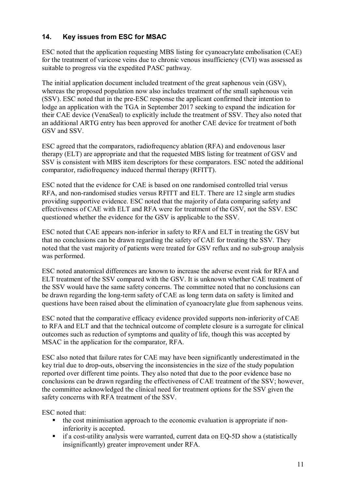# **14. Key issues from ESC for MSAC**

ESC noted that the application requesting MBS listing for cyanoacrylate embolisation (CAE) for the treatment of varicose veins due to chronic venous insufficiency (CVI) was assessed as suitable to progress via the expedited PASC pathway.

The initial application document included treatment of the great saphenous vein (GSV), whereas the proposed population now also includes treatment of the small saphenous vein (SSV). ESC noted that in the pre-ESC response the applicant confirmed their intention to lodge an application with the TGA in September 2017 seeking to expand the indication for their CAE device (VenaSeal) to explicitly include the treatment of SSV. They also noted that an additional ARTG entry has been approved for another CAE device for treatment of both GSV and SSV.

ESC agreed that the comparators, radiofrequency ablation (RFA) and endovenous laser therapy (ELT) are appropriate and that the requested MBS listing for treatment of GSV and SSV is consistent with MBS item descriptors for these comparators. ESC noted the additional comparator, radiofrequency induced thermal therapy (RFITT).

ESC noted that the evidence for CAE is based on one randomised controlled trial versus RFA, and non-randomised studies versus RFITT and ELT. There are 12 single arm studies providing supportive evidence. ESC noted that the majority of data comparing safety and effectiveness of CAE with ELT and RFA were for treatment of the GSV, not the SSV. ESC questioned whether the evidence for the GSV is applicable to the SSV.

ESC noted that CAE appears non-inferior in safety to RFA and ELT in treating the GSV but that no conclusions can be drawn regarding the safety of CAE for treating the SSV. They noted that the vast majority of patients were treated for GSV reflux and no sub-group analysis was performed.

ESC noted anatomical differences are known to increase the adverse event risk for RFA and ELT treatment of the SSV compared with the GSV. It is unknown whether CAE treatment of the SSV would have the same safety concerns. The committee noted that no conclusions can be drawn regarding the long-term safety of CAE as long term data on safety is limited and questions have been raised about the elimination of cyanoacrylate glue from saphenous veins.

ESC noted that the comparative efficacy evidence provided supports non-inferiority of CAE to RFA and ELT and that the technical outcome of complete closure is a surrogate for clinical outcomes such as reduction of symptoms and quality of life, though this was accepted by MSAC in the application for the comparator, RFA.

ESC also noted that failure rates for CAE may have been significantly underestimated in the key trial due to drop-outs, observing the inconsistencies in the size of the study population reported over different time points. They also noted that due to the poor evidence base no conclusions can be drawn regarding the effectiveness of CAE treatment of the SSV; however, the committee acknowledged the clinical need for treatment options for the SSV given the safety concerns with RFA treatment of the SSV.

ESC noted that:

- the cost minimisation approach to the economic evaluation is appropriate if noninferiority is accepted.
- if a cost-utility analysis were warranted, current data on EQ-5D show a (statistically insignificantly) greater improvement under RFA.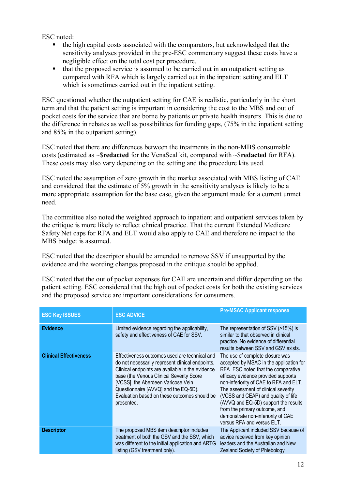ESC noted:

- the high capital costs associated with the comparators, but acknowledged that the sensitivity analyses provided in the pre-ESC commentary suggest these costs have a negligible effect on the total cost per procedure.
- that the proposed service is assumed to be carried out in an outpatient setting as compared with RFA which is largely carried out in the inpatient setting and ELT which is sometimes carried out in the inpatient setting.

ESC questioned whether the outpatient setting for CAE is realistic, particularly in the short term and that the patient setting is important in considering the cost to the MBS and out of pocket costs for the service that are borne by patients or private health insurers. This is due to the difference in rebates as well as possibilities for funding gaps, (75% in the inpatient setting and 85% in the outpatient setting).

ESC noted that there are differences between the treatments in the non-MBS consumable costs (estimated as ~\$**redacted** for the VenaSeal kit, compared with ~\$**redacted** for RFA). These costs may also vary depending on the setting and the procedure kits used.

ESC noted the assumption of zero growth in the market associated with MBS listing of CAE and considered that the estimate of 5% growth in the sensitivity analyses is likely to be a more appropriate assumption for the base case, given the argument made for a current unmet need.

The committee also noted the weighted approach to inpatient and outpatient services taken by the critique is more likely to reflect clinical practice. That the current Extended Medicare Safety Net caps for RFA and ELT would also apply to CAE and therefore no impact to the MBS budget is assumed.

ESC noted that the descriptor should be amended to remove SSV if unsupported by the evidence and the wording changes proposed in the critique should be applied.

ESC noted that the out of pocket expenses for CAE are uncertain and differ depending on the patient setting. ESC considered that the high out of pocket costs for both the existing services and the proposed service are important considerations for consumers.

| <b>ESC Key ISSUES</b>         | <b>ESC ADVICE</b>                                                                                                                                                                                                                                                                                                                             | <b>Pre-MSAC Applicant response</b>                                                                                                                                                                                                                                                                                                                                                                                            |
|-------------------------------|-----------------------------------------------------------------------------------------------------------------------------------------------------------------------------------------------------------------------------------------------------------------------------------------------------------------------------------------------|-------------------------------------------------------------------------------------------------------------------------------------------------------------------------------------------------------------------------------------------------------------------------------------------------------------------------------------------------------------------------------------------------------------------------------|
| <b>Evidence</b>               | Limited evidence regarding the applicability,<br>safety and effectiveness of CAE for SSV.                                                                                                                                                                                                                                                     | The representation of SSV (>15%) is<br>similar to that observed in clinical<br>practice. No evidence of differential<br>results between SSV and GSV exists.                                                                                                                                                                                                                                                                   |
| <b>Clinical Effectiveness</b> | Effectiveness outcomes used are technical and<br>do not necessarily represent clinical endpoints.<br>Clinical endpoints are available in the evidence<br>base (the Venous Clinical Severity Score<br>[VCSS], the Aberdeen Varicose Vein<br>Questionnaire [AVVQ] and the EQ-5D).<br>Evaluation based on these outcomes should be<br>presented. | The use of complete closure was<br>accepted by MSAC in the application for<br>RFA. ESC noted that the comparative<br>efficacy evidence provided supports<br>non-inferiority of CAE to RFA and ELT.<br>The assessment of clinical severity<br>(VCSS and CEAP) and quality of life<br>(AVVQ and EQ-5D) support the results<br>from the primary outcome, and<br>demonstrate non-inferiority of CAE<br>versus RFA and versus ELT. |
| <b>Descriptor</b>             | The proposed MBS item descriptor includes<br>treatment of both the GSV and the SSV, which<br>was different to the initial application and ARTG<br>listing (GSV treatment only).                                                                                                                                                               | The Applicant included SSV because of<br>advice received from key opinion<br>leaders and the Australian and New<br><b>Zealand Society of Phlebology</b>                                                                                                                                                                                                                                                                       |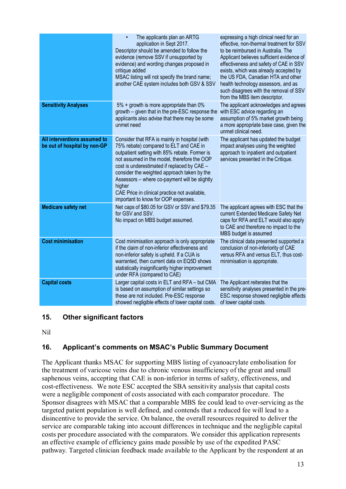|                                                              | The applicants plan an ARTG<br>$\bullet$<br>application in Sept 2017.<br>Descriptor should be amended to follow the<br>evidence (remove SSV if unsupported by<br>evidence) and wording changes proposed in<br>critique added<br>MSAC listing will not specify the brand name;<br>another CAE system includes both GSV & SSV                                                                                                              | expressing a high clinical need for an<br>effective, non-thermal treatment for SSV<br>to be reimbursed in Australia. The<br>Applicant believes sufficient evidence of<br>effectiveness and safety of CAE in SSV<br>exists, which was already accepted by<br>the US FDA, Canadian HTA and other<br>health technology assessors, and as<br>such disagrees with the removal of SSV<br>from the MBS item descriptor. |
|--------------------------------------------------------------|------------------------------------------------------------------------------------------------------------------------------------------------------------------------------------------------------------------------------------------------------------------------------------------------------------------------------------------------------------------------------------------------------------------------------------------|------------------------------------------------------------------------------------------------------------------------------------------------------------------------------------------------------------------------------------------------------------------------------------------------------------------------------------------------------------------------------------------------------------------|
| <b>Sensitivity Analyses</b>                                  | 5% + growth is more appropriate than 0%<br>growth - given that in the pre-ESC response the<br>applicants also advise that there may be some<br>unmet need                                                                                                                                                                                                                                                                                | The applicant acknowledges and agrees<br>with ESC advice regarding an<br>assumption of 5% market growth being<br>a more appropriate base case, given the<br>unmet clinical need.                                                                                                                                                                                                                                 |
| All interventions assumed to<br>be out of hospital by non-GP | Consider that RFA is mainly in hospital (with<br>75% rebate) compared to ELT and CAE in<br>outpatient setting with 85% rebate. Former is<br>not assumed in the model, therefore the OOP<br>cost is underestimated if replaced by CAE -<br>consider the weighted approach taken by the<br>Assessors - where co-payment will be slightly<br>higher<br>CAE Price in clinical practice not available,<br>important to know for OOP expenses. | The applicant has updated the budget<br>impact analyses using the weighted<br>approach to inpatient and outpatient<br>services presented in the Critique.                                                                                                                                                                                                                                                        |
| <b>Medicare safety net</b>                                   | Net caps of \$80.05 for GSV or SSV and \$79.35<br>for GSV and SSV.<br>No impact on MBS budget assumed.                                                                                                                                                                                                                                                                                                                                   | The applicant agrees with ESC that the<br>current Extended Medicare Safety Net<br>caps for RFA and ELT would also apply<br>to CAE and therefore no impact to the<br>MBS budget is assumed                                                                                                                                                                                                                        |
| <b>Cost minimisation</b>                                     | Cost minimisation approach is only appropriate<br>if the claim of non-inferior effectiveness and<br>non-inferior safety is upheld. If a CUA is<br>warranted, then current data on EQ5D shows<br>statistically insignificantly higher improvement<br>under RFA (compared to CAE)                                                                                                                                                          | The clinical data presented supported a<br>conclusion of non-inferiority of CAE<br>versus RFA and versus ELT, thus cost-<br>minimisation is appropriate.                                                                                                                                                                                                                                                         |
| <b>Capital costs</b>                                         | Larger capital costs in ELT and RFA - but CMA<br>is based on assumption of similar settings so<br>these are not included. Pre-ESC response<br>showed negligible effects of lower capital costs.                                                                                                                                                                                                                                          | The Applicant reiterates that the<br>sensitivity analyses presented in the pre-<br>ESC response showed negligible effects<br>of lower capital costs.                                                                                                                                                                                                                                                             |

## **15. Other significant factors**

Nil

# **16. Applicant's comments on MSAC's Public Summary Document**

The Applicant thanks MSAC for supporting MBS listing of cyanoacrylate embolisation for the treatment of varicose veins due to chronic venous insufficiency of the great and small saphenous veins, accepting that CAE is non-inferior in terms of safety, effectiveness, and cost-effectiveness. We note ESC accepted the SBA sensitivity analysis that capital costs were a negligible component of costs associated with each comparator procedure. The Sponsor disagrees with MSAC that a comparable MBS fee could lead to over-servicing as the targeted patient population is well defined, and contends that a reduced fee will lead to a disincentive to provide the service. On balance, the overall resources required to deliver the service are comparable taking into account differences in technique and the negligible capital costs per procedure associated with the comparators. We consider this application represents an effective example of efficiency gains made possible by use of the expedited PASC pathway. Targeted clinician feedback made available to the Applicant by the respondent at an